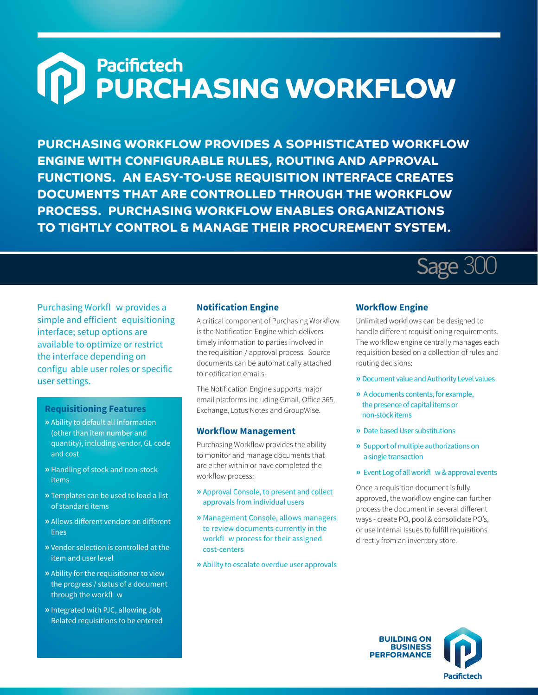# Pacifictech<br>PURCHASING WORKFLOW  $\bigcap$

**PURCHASING WORKFLOW PROVIDES A SOPHISTICATED WORKFLOW ENGINE WITH CONFIGURABLE RULES, ROUTING AND APPROVAL FUNCTIONS. AN EASY-TO-USE REQUISITION INTERFACE CREATES DOCUMENTS THAT ARE CONTROLLED THROUGH THE WORKFLOW PROCESS. PURCHASING WORKFLOW ENABLES ORGANIZATIONS TO TIGHTLY CONTROL & MANAGE THEIR PROCUREMENT SYSTEM.**



Purchasing Workfl w provides a simple and efficient equisitioning interface; setup options are available to optimize or restrict the interface depending on configu able user roles or specific user settings.

### **Requisitioning Features**

- **»** Ability to default all information (other than item number and quantity), including vendor, GL code and cost
- **»** Handling of stock and non-stock items
- **»** Templates can be used to load a list of standard items
- **»** Allows different vendors on different lines
- **»** Vendor selection is controlled at the item and user level
- **»** Ability for the requisitioner to view the progress / status of a document through the workfl w
- **»** Integrated with PJC, allowing Job Related requisitions to be entered

#### **Notification Engine**

A critical component of Purchasing Workflow is the Notification Engine which delivers timely information to parties involved in the requisition / approval process. Source documents can be automatically attached to notification emails.

The Notification Engine supports major email platforms including Gmail, Office 365, Exchange, Lotus Notes and GroupWise.

#### **Workflow Management**

Purchasing Workflow provides the ability to monitor and manage documents that are either within or have completed the workflow process:

- **»** Approval Console, to present and collect approvals from individual users
- **»** Management Console, allows managers to review documents currently in the workfl w process for their assigned cost-centers
- **»** Ability to escalate overdue user approvals

#### **Workflow Engine**

Unlimited workflows can be designed to handle different requisitioning requirements. The workflow engine centrally manages each requisition based on a collection of rules and routing decisions:

- **»** Document value and Authority Level values
- **»** A documents contents, for example, the presence of capital items or non-stock items
- **»** Date based User substitutions
- **»** Support of multiple authorizations on a single transaction
- **»** Event Log of all workfl w & approval events

Once a requisition document is fully approved, the workflow engine can further process the document in several different ways - create PO, pool & consolidate PO's, or use Internal Issues to fulfill requisitions directly from an inventory store.